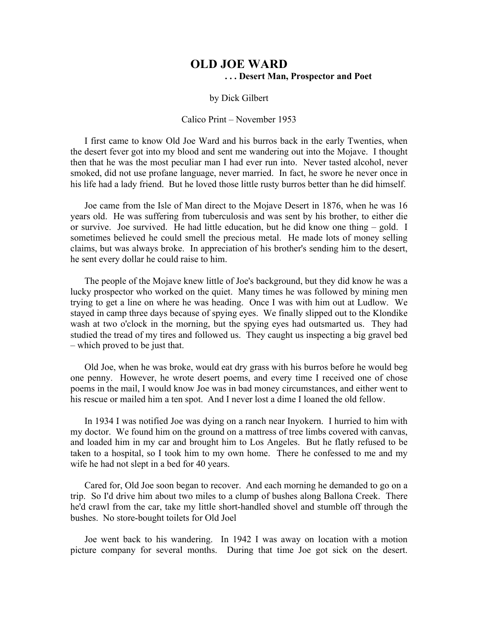## **OLD JOE WARD . . . Desert Man, Prospector and Poet**

## by Dick Gilbert

## Calico Print – November 1953

I first came to know Old Joe Ward and his burros back in the early Twenties, when the desert fever got into my blood and sent me wandering out into the Mojave. I thought then that he was the most peculiar man I had ever run into. Never tasted alcohol, never smoked, did not use profane language, never married. In fact, he swore he never once in his life had a lady friend. But he loved those little rusty burros better than he did himself.

Joe came from the Isle of Man direct to the Mojave Desert in 1876, when he was 16 years old. He was suffering from tuberculosis and was sent by his brother, to either die or survive. Joe survived. He had little education, but he did know one thing – gold. I sometimes believed he could smell the precious metal. He made lots of money selling claims, but was always broke. In appreciation of his brother's sending him to the desert, he sent every dollar he could raise to him.

The people of the Mojave knew little of Joe's background, but they did know he was a lucky prospector who worked on the quiet. Many times he was followed by mining men trying to get a line on where he was heading. Once I was with him out at Ludlow. We stayed in camp three days because of spying eyes. We finally slipped out to the Klondike wash at two o'clock in the morning, but the spying eyes had outsmarted us. They had studied the tread of my tires and followed us. They caught us inspecting a big gravel bed – which proved to be just that.

Old Joe, when he was broke, would eat dry grass with his burros before he would beg one penny. However, he wrote desert poems, and every time I received one of chose poems in the mail, I would know Joe was in bad money circumstances, and either went to his rescue or mailed him a ten spot. And I never lost a dime I loaned the old fellow.

In 1934 I was notified Joe was dying on a ranch near Inyokern. I hurried to him with my doctor. We found him on the ground on a mattress of tree limbs covered with canvas, and loaded him in my car and brought him to Los Angeles. But he flatly refused to be taken to a hospital, so I took him to my own home. There he confessed to me and my wife he had not slept in a bed for 40 years.

Cared for, Old Joe soon began to recover. And each morning he demanded to go on a trip. So I'd drive him about two miles to a clump of bushes along Ballona Creek. There he'd crawl from the car, take my little short-handled shovel and stumble off through the bushes. No store-bought toilets for Old Joel

Joe went back to his wandering. In 1942 I was away on location with a motion picture company for several months. During that time Joe got sick on the desert.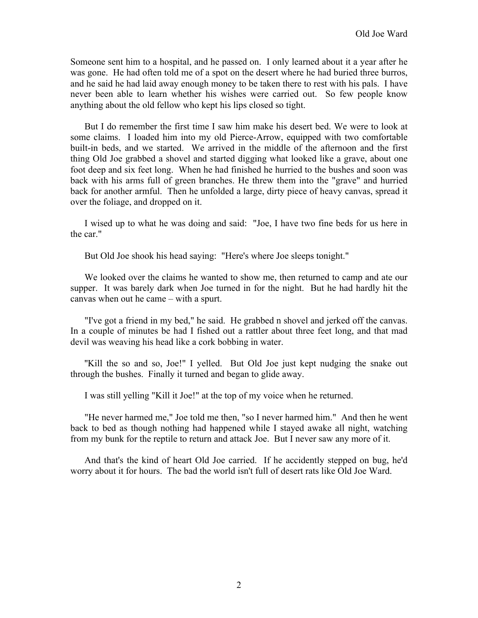Someone sent him to a hospital, and he passed on. I only learned about it a year after he was gone. He had often told me of a spot on the desert where he had buried three burros, and he said he had laid away enough money to be taken there to rest with his pals. I have never been able to learn whether his wishes were carried out. So few people know anything about the old fellow who kept his lips closed so tight.

But I do remember the first time I saw him make his desert bed. We were to look at some claims. I loaded him into my old Pierce-Arrow, equipped with two comfortable built-in beds, and we started. We arrived in the middle of the afternoon and the first thing Old Joe grabbed a shovel and started digging what looked like a grave, about one foot deep and six feet long. When he had finished he hurried to the bushes and soon was back with his arms full of green branches. He threw them into the "grave" and hurried back for another armful. Then he unfolded a large, dirty piece of heavy canvas, spread it over the foliage, and dropped on it.

I wised up to what he was doing and said: "Joe, I have two fine beds for us here in the car."

But Old Joe shook his head saying: "Here's where Joe sleeps tonight."

We looked over the claims he wanted to show me, then returned to camp and ate our supper. It was barely dark when Joe turned in for the night. But he had hardly hit the canvas when out he came – with a spurt.

"I've got a friend in my bed," he said. He grabbed n shovel and jerked off the canvas. In a couple of minutes be had I fished out a rattler about three feet long, and that mad devil was weaving his head like a cork bobbing in water.

"Kill the so and so, Joe!" I yelled. But Old Joe just kept nudging the snake out through the bushes. Finally it turned and began to glide away.

I was still yelling "Kill it Joe!" at the top of my voice when he returned.

"He never harmed me," Joe told me then, "so I never harmed him." And then he went back to bed as though nothing had happened while I stayed awake all night, watching from my bunk for the reptile to return and attack Joe. But I never saw any more of it.

And that's the kind of heart Old Joe carried. If he accidently stepped on bug, he'd worry about it for hours. The bad the world isn't full of desert rats like Old Joe Ward.